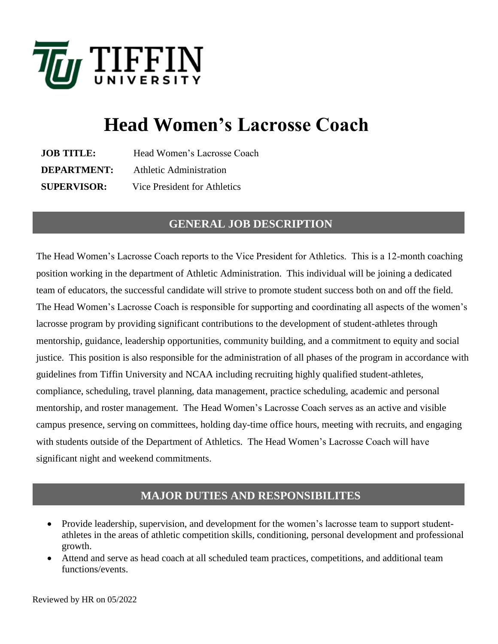

# **Head Women's Lacrosse Coach**

| <b>JOB TITLE:</b>  | Head Women's Lacrosse Coach  |
|--------------------|------------------------------|
| <b>DEPARTMENT:</b> | Athletic Administration      |
| <b>SUPERVISOR:</b> | Vice President for Athletics |

### **GENERAL JOB DESCRIPTION**

The Head Women's Lacrosse Coach reports to the Vice President for Athletics. This is a 12-month coaching position working in the department of Athletic Administration. This individual will be joining a dedicated team of educators, the successful candidate will strive to promote student success both on and off the field. The Head Women's Lacrosse Coach is responsible for supporting and coordinating all aspects of the women's lacrosse program by providing significant contributions to the development of student-athletes through mentorship, guidance, leadership opportunities, community building, and a commitment to equity and social justice. This position is also responsible for the administration of all phases of the program in accordance with guidelines from Tiffin University and NCAA including recruiting highly qualified student-athletes, compliance, scheduling, travel planning, data management, practice scheduling, academic and personal mentorship, and roster management. The Head Women's Lacrosse Coach serves as an active and visible campus presence, serving on committees, holding day-time office hours, meeting with recruits, and engaging with students outside of the Department of Athletics. The Head Women's Lacrosse Coach will have significant night and weekend commitments.

### **MAJOR DUTIES AND RESPONSIBILITES**

- Provide leadership, supervision, and development for the women's lacrosse team to support studentathletes in the areas of athletic competition skills, conditioning, personal development and professional growth.
- Attend and serve as head coach at all scheduled team practices, competitions, and additional team functions/events.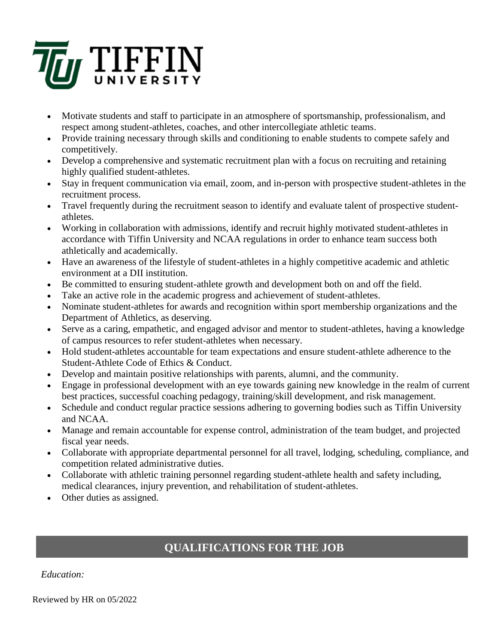

- Motivate students and staff to participate in an atmosphere of sportsmanship, professionalism, and respect among student-athletes, coaches, and other intercollegiate athletic teams.
- Provide training necessary through skills and conditioning to enable students to compete safely and competitively.
- Develop a comprehensive and systematic recruitment plan with a focus on recruiting and retaining highly qualified student-athletes.
- Stay in frequent communication via email, zoom, and in-person with prospective student-athletes in the recruitment process.
- Travel frequently during the recruitment season to identify and evaluate talent of prospective studentathletes.
- Working in collaboration with admissions, identify and recruit highly motivated student-athletes in accordance with Tiffin University and NCAA regulations in order to enhance team success both athletically and academically.
- Have an awareness of the lifestyle of student-athletes in a highly competitive academic and athletic environment at a DII institution.
- Be committed to ensuring student-athlete growth and development both on and off the field.
- Take an active role in the academic progress and achievement of student-athletes.
- Nominate student-athletes for awards and recognition within sport membership organizations and the Department of Athletics, as deserving.
- Serve as a caring, empathetic, and engaged advisor and mentor to student-athletes, having a knowledge of campus resources to refer student-athletes when necessary.
- Hold student-athletes accountable for team expectations and ensure student-athlete adherence to the Student-Athlete Code of Ethics & Conduct.
- Develop and maintain positive relationships with parents, alumni, and the community.
- Engage in professional development with an eye towards gaining new knowledge in the realm of current best practices, successful coaching pedagogy, training/skill development, and risk management.
- Schedule and conduct regular practice sessions adhering to governing bodies such as Tiffin University and NCAA.
- Manage and remain accountable for expense control, administration of the team budget, and projected fiscal year needs.
- Collaborate with appropriate departmental personnel for all travel, lodging, scheduling, compliance, and competition related administrative duties.
- Collaborate with athletic training personnel regarding student-athlete health and safety including, medical clearances, injury prevention, and rehabilitation of student-athletes.
- Other duties as assigned.

## **QUALIFICATIONS FOR THE JOB**

#### *Education:*

Reviewed by HR on 05/2022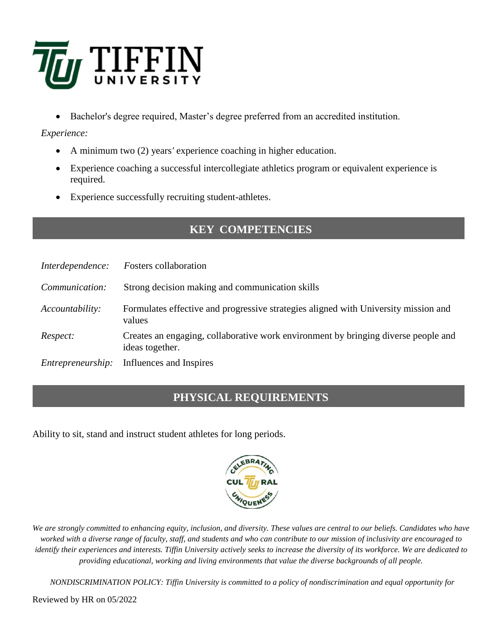

• Bachelor's degree required, Master's degree preferred from an accredited institution.

*Experience:*

- A minimum two (2) years*'* experience coaching in higher education.
- Experience coaching a successful intercollegiate athletics program or equivalent experience is required.
- Experience successfully recruiting student-athletes.

## **KEY COMPETENCIES**

| Interdependence:  | <i>Fosters</i> collaboration                                                                          |
|-------------------|-------------------------------------------------------------------------------------------------------|
| Communication:    | Strong decision making and communication skills                                                       |
| Accountability:   | Formulates effective and progressive strategies aligned with University mission and<br>values         |
| Respect:          | Creates an engaging, collaborative work environment by bringing diverse people and<br>ideas together. |
| Entrepreneurship: | Influences and Inspires                                                                               |

## **PHYSICAL REQUIREMENTS**

Ability to sit, stand and instruct student athletes for long periods.



*We are strongly committed to enhancing equity, inclusion, and diversity. These values are central to our beliefs. Candidates who have worked with a diverse range of faculty, staff, and students and who can contribute to our mission of inclusivity are encouraged to identify their experiences and interests. Tiffin University actively seeks to increase the diversity of its workforce. We are dedicated to providing educational, working and living environments that value the diverse backgrounds of all people.*

*NONDISCRIMINATION POLICY: Tiffin University is committed to a policy of nondiscrimination and equal opportunity for* 

Reviewed by HR on 05/2022